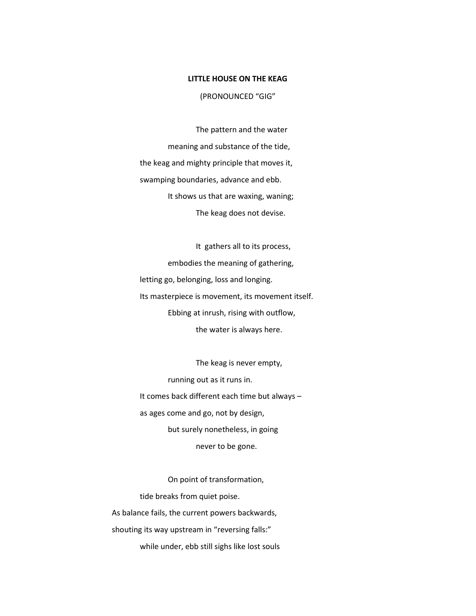## LITTLE HOUSE ON THE KEAG

(PRONOUNCED "GIG"

The pattern and the water meaning and substance of the tide, the keag and mighty principle that moves it, swamping boundaries, advance and ebb. It shows us that are waxing, waning; The keag does not devise.

It gathers all to its process, embodies the meaning of gathering, letting go, belonging, loss and longing. Its masterpiece is movement, its movement itself. Ebbing at inrush, rising with outflow, the water is always here.

The keag is never empty, running out as it runs in. It comes back different each time but always – as ages come and go, not by design, but surely nonetheless, in going never to be gone.

On point of transformation, tide breaks from quiet poise. As balance fails, the current powers backwards, shouting its way upstream in "reversing falls:" while under, ebb still sighs like lost souls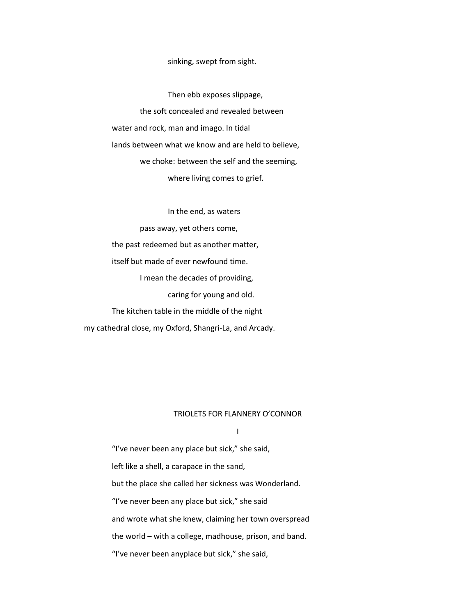## sinking, swept from sight.

Then ebb exposes slippage, the soft concealed and revealed between water and rock, man and imago. In tidal lands between what we know and are held to believe, we choke: between the self and the seeming, where living comes to grief.

In the end, as waters

pass away, yet others come, the past redeemed but as another matter, itself but made of ever newfound time. I mean the decades of providing, caring for young and old. The kitchen table in the middle of the night my cathedral close, my Oxford, Shangri-La, and Arcady.

## TRIOLETS FOR FLANNERY O'CONNOR

I

"I've never been any place but sick," she said, left like a shell, a carapace in the sand, but the place she called her sickness was Wonderland. "I've never been any place but sick," she said and wrote what she knew, claiming her town overspread the world – with a college, madhouse, prison, and band. "I've never been anyplace but sick," she said,